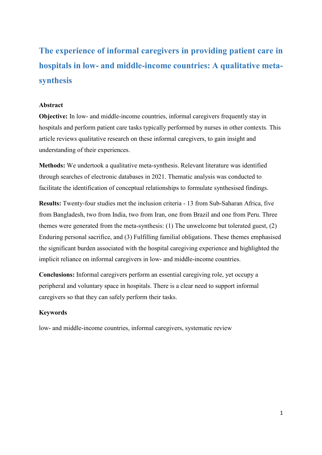**The experience of informal caregivers in providing patient care in hospitals in low- and middle-income countries: A qualitative metasynthesis**

### **Abstract**

**Objective:** In low- and middle-income countries, informal caregivers frequently stay in hospitals and perform patient care tasks typically performed by nurses in other contexts. This article reviews qualitative research on these informal caregivers, to gain insight and understanding of their experiences.

**Methods:** We undertook a qualitative meta-synthesis. Relevant literature was identified through searches of electronic databases in 2021. Thematic analysis was conducted to facilitate the identification of conceptual relationships to formulate synthesised findings.

**Results:** Twenty-four studies met the inclusion criteria - 13 from Sub-Saharan Africa, five from Bangladesh, two from India, two from Iran, one from Brazil and one from Peru. Three themes were generated from the meta-synthesis: (1) The unwelcome but tolerated guest, (2) Enduring personal sacrifice, and (3) Fulfilling familial obligations. These themes emphasised the significant burden associated with the hospital caregiving experience and highlighted the implicit reliance on informal caregivers in low- and middle-income countries.

**Conclusions:** Informal caregivers perform an essential caregiving role, yet occupy a peripheral and voluntary space in hospitals. There is a clear need to support informal caregivers so that they can safely perform their tasks.

#### **Keywords**

low- and middle-income countries, informal caregivers, systematic review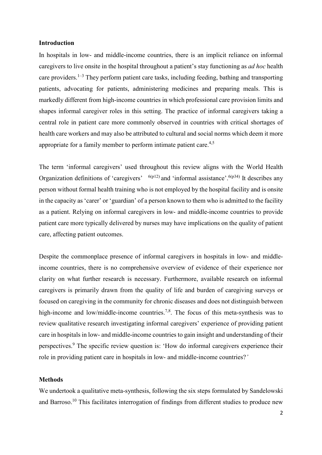#### **Introduction**

In hospitals in low- and middle-income countries, there is an implicit reliance on informal caregivers to live onsite in the hospital throughout a patient's stay functioning as *ad hoc* health care providers.<sup>1-3</sup> They perform patient care tasks, including feeding, bathing and transporting patients, advocating for patients, administering medicines and preparing meals. This is markedly different from high-income countries in which professional care provision limits and shapes informal caregiver roles in this setting. The practice of informal caregivers taking a central role in patient care more commonly observed in countries with critical shortages of health care workers and may also be attributed to cultural and social norms which deem it more appropriate for a family member to perform intimate patient care.<sup>4,5</sup>

The term 'informal caregivers' used throughout this review aligns with the World Health Organization definitions of 'caregivers'  $^{6(p12)}$  and 'informal assistance'.<sup>6(p34)</sup> It describes any person without formal health training who is not employed by the hospital facility and is onsite in the capacity as 'carer' or 'guardian' of a person known to them who is admitted to the facility as a patient. Relying on informal caregivers in low- and middle-income countries to provide patient care more typically delivered by nurses may have implications on the quality of patient care, affecting patient outcomes.

Despite the commonplace presence of informal caregivers in hospitals in low- and middleincome countries, there is no comprehensive overview of evidence of their experience nor clarity on what further research is necessary. Furthermore, available research on informal caregivers is primarily drawn from the quality of life and burden of caregiving surveys or focused on caregiving in the community for chronic diseases and does not distinguish between high-income and low/middle-income countries.<sup>7,8</sup>. The focus of this meta-synthesis was to review qualitative research investigating informal caregivers' experience of providing patient care in hospitals in low- and middle-income countries to gain insight and understanding of their perspectives.9 The specific review question is: 'How do informal caregivers experience their role in providing patient care in hospitals in low- and middle-income countries?*'*

#### **Methods**

We undertook a qualitative meta-synthesis, following the six steps formulated by Sandelowski and Barroso.<sup>10</sup> This facilitates interrogation of findings from different studies to produce new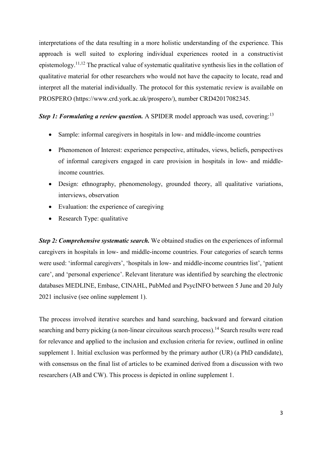interpretations of the data resulting in a more holistic understanding of the experience. This approach is well suited to exploring individual experiences rooted in a constructivist epistemology.<sup>11,12</sup> The practical value of systematic qualitative synthesis lies in the collation of qualitative material for other researchers who would not have the capacity to locate, read and interpret all the material individually. The protocol for this systematic review is available on PROSPERO (https://www.crd.york.ac.uk/prospero/), number CRD42017082345.

# Step 1: Formulating a review question. A SPIDER model approach was used, covering:<sup>13</sup>

- Sample: informal caregivers in hospitals in low- and middle-income countries
- Phenomenon of Interest: experience perspective, attitudes, views, beliefs, perspectives of informal caregivers engaged in care provision in hospitals in low- and middleincome countries.
- Design: ethnography, phenomenology, grounded theory, all qualitative variations, interviews, observation
- Evaluation: the experience of caregiving
- Research Type: qualitative

*Step 2: Comprehensive systematic search.* We obtained studies on the experiences of informal caregivers in hospitals in low- and middle-income countries. Four categories of search terms were used: 'informal caregivers', 'hospitals in low- and middle-income countries list', 'patient care', and 'personal experience'. Relevant literature was identified by searching the electronic databases MEDLINE, Embase, CINAHL, PubMed and PsycINFO between 5 June and 20 July 2021 inclusive (see online supplement 1).

The process involved iterative searches and hand searching, backward and forward citation searching and berry picking (a non-linear circuitous search process).<sup>14</sup> Search results were read for relevance and applied to the inclusion and exclusion criteria for review, outlined in online supplement 1. Initial exclusion was performed by the primary author (UR) (a PhD candidate), with consensus on the final list of articles to be examined derived from a discussion with two researchers (AB and CW). This process is depicted in online supplement 1.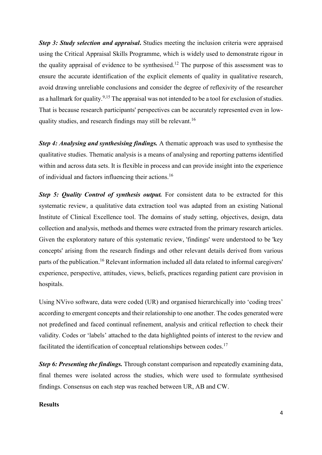*Step 3: Study selection and appraisal***.** Studies meeting the inclusion criteria were appraised using the Critical Appraisal Skills Programme, which is widely used to demonstrate rigour in the quality appraisal of evidence to be synthesised.<sup>12</sup> The purpose of this assessment was to ensure the accurate identification of the explicit elements of quality in qualitative research, avoid drawing unreliable conclusions and consider the degree of reflexivity of the researcher as a hallmark for quality.<sup>9,15</sup> The appraisal was not intended to be a tool for exclusion of studies. That is because research participants' perspectives can be accurately represented even in lowquality studies, and research findings may still be relevant.<sup>16</sup>

*Step 4: Analysing and synthesising findings.* A thematic approach was used to synthesise the qualitative studies. Thematic analysis is a means of analysing and reporting patterns identified within and across data sets. It is flexible in process and can provide insight into the experience of individual and factors influencing their actions.<sup>16</sup>

*Step 5: Quality Control of synthesis output.* For consistent data to be extracted for this systematic review, a qualitative data extraction tool was adapted from an existing National Institute of Clinical Excellence tool. The domains of study setting, objectives, design, data collection and analysis, methods and themes were extracted from the primary research articles. Given the exploratory nature of this systematic review, 'findings' were understood to be 'key concepts' arising from the research findings and other relevant details derived from various parts of the publication.<sup>16</sup> Relevant information included all data related to informal caregivers' experience, perspective, attitudes, views, beliefs, practices regarding patient care provision in hospitals.

Using NVivo software, data were coded (UR) and organised hierarchically into 'coding trees' according to emergent concepts and their relationship to one another. The codes generated were not predefined and faced continual refinement, analysis and critical reflection to check their validity. Codes or 'labels' attached to the data highlighted points of interest to the review and facilitated the identification of conceptual relationships between codes.<sup>17</sup>

*Step 6: Presenting the findings.* Through constant comparison and repeatedly examining data, final themes were isolated across the studies, which were used to formulate synthesised findings. Consensus on each step was reached between UR, AB and CW.

## **Results**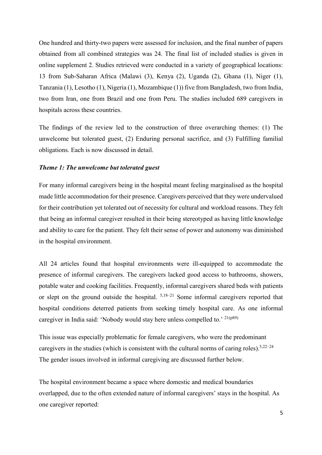One hundred and thirty-two papers were assessed for inclusion, and the final number of papers obtained from all combined strategies was 24. The final list of included studies is given in online supplement 2. Studies retrieved were conducted in a variety of geographical locations: 13 from Sub-Saharan Africa (Malawi (3), Kenya (2), Uganda (2), Ghana (1), Niger (1), Tanzania (1), Lesotho (1), Nigeria (1), Mozambique (1)) five from Bangladesh, two from India, two from Iran, one from Brazil and one from Peru. The studies included 689 caregivers in hospitals across these countries.

The findings of the review led to the construction of three overarching themes: (1) The unwelcome but tolerated guest, (2) Enduring personal sacrifice, and (3) Fulfilling familial obligations. Each is now discussed in detail.

#### *Theme 1: The unwelcome but tolerated guest*

For many informal caregivers being in the hospital meant feeling marginalised as the hospital made little accommodation for their presence. Caregivers perceived that they were undervalued for their contribution yet tolerated out of necessity for cultural and workload reasons. They felt that being an informal caregiver resulted in their being stereotyped as having little knowledge and ability to care for the patient. They felt their sense of power and autonomy was diminished in the hospital environment.

All 24 articles found that hospital environments were ill-equipped to accommodate the presence of informal caregivers. The caregivers lacked good access to bathrooms, showers, potable water and cooking facilities. Frequently, informal caregivers shared beds with patients or slept on the ground outside the hospital.  $5,18-21$  Some informal caregivers reported that hospital conditions deterred patients from seeking timely hospital care. As one informal caregiver in India said: 'Nobody would stay here unless compelled to.'  $21(p89)$ 

This issue was especially problematic for female caregivers, who were the predominant caregivers in the studies (which is consistent with the cultural norms of caring roles).<sup>5,22–24</sup> The gender issues involved in informal caregiving are discussed further below.

The hospital environment became a space where domestic and medical boundaries overlapped, due to the often extended nature of informal caregivers' stays in the hospital. As one caregiver reported: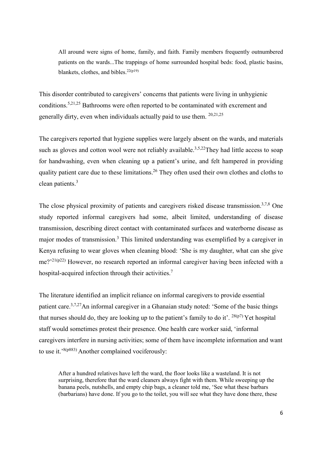All around were signs of home, family, and faith. Family members frequently outnumbered patients on the wards...The trappings of home surrounded hospital beds: food, plastic basins, blankets, clothes, and bibles. $22(p19)$ 

This disorder contributed to caregivers' concerns that patients were living in unhygienic conditions. 5,21,25 Bathrooms were often reported to be contaminated with excrement and generally dirty, even when individuals actually paid to use them. <sup>20,21,25</sup>

The caregivers reported that hygiene supplies were largely absent on the wards, and materials such as gloves and cotton wool were not reliably available.<sup>3,5,22</sup>They had little access to soap for handwashing, even when cleaning up a patient's urine, and felt hampered in providing quality patient care due to these limitations.<sup>26</sup> They often used their own clothes and cloths to clean patients.<sup>3</sup>

The close physical proximity of patients and caregivers risked disease transmission.<sup>3,7,8</sup> One study reported informal caregivers had some, albeit limited, understanding of disease transmission, describing direct contact with contaminated surfaces and waterborne disease as major modes of transmission. <sup>3</sup> This limited understanding was exemplified by a caregiver in Kenya refusing to wear gloves when cleaning blood: 'She is my daughter, what can she give me?'<sup>21(p22)</sup> However, no research reported an informal caregiver having been infected with a hospital-acquired infection through their activities.<sup>7</sup>

The literature identified an implicit reliance on informal caregivers to provide essential patient care.<sup>3,7,27</sup>An informal caregiver in a Ghanaian study noted: 'Some of the basic things that nurses should do, they are looking up to the patient's family to do it'.  $^{28(p7)}$  Yet hospital staff would sometimes protest their presence. One health care worker said, 'informal caregivers interfere in nursing activities; some of them have incomplete information and want to use it.'<sup>8(p883)</sup> Another complained vociferously:

After a hundred relatives have left the ward, the floor looks like a wasteland. It is not surprising, therefore that the ward cleaners always fight with them. While sweeping up the banana peels, nutshells, and empty chip bags, a cleaner told me, 'See what these barbars (barbarians) have done. If you go to the toilet, you will see what they have done there, these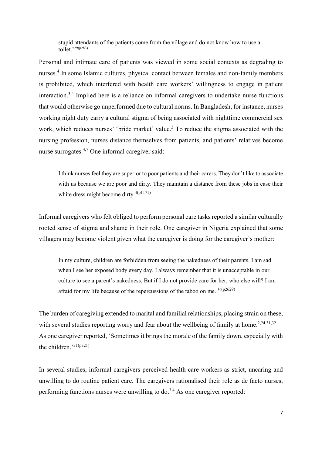stupid attendants of the patients come from the village and do not know how to use a toilet.'<sup>29(p283)</sup>

Personal and intimate care of patients was viewed in some social contexts as degrading to nurses. <sup>4</sup> In some Islamic cultures, physical contact between females and non-family members is prohibited, which interfered with health care workers' willingness to engage in patient interaction.<sup>3,4</sup> Implied here is a reliance on informal caregivers to undertake nurse functions that would otherwise go unperformed due to cultural norms. In Bangladesh, for instance, nurses working night duty carry a cultural stigma of being associated with nighttime commercial sex work, which reduces nurses' 'bride market' value. <sup>3</sup> To reduce the stigma associated with the nursing profession, nurses distance themselves from patients, and patients' relatives become nurse surrogates.<sup>4,7</sup> One informal caregiver said:

I think nurses feel they are superior to poor patients and their carers. They don't like to associate with us because we are poor and dirty. They maintain a distance from these jobs in case their white dress might become dirty.<sup>4(p1171)</sup>

Informal caregivers who felt obliged to perform personal care tasks reported a similar culturally rooted sense of stigma and shame in their role. One caregiver in Nigeria explained that some villagers may become violent given what the caregiver is doing for the caregiver's mother:

In my culture, children are forbidden from seeing the nakedness of their parents. I am sad when I see her exposed body every day. I always remember that it is unacceptable in our culture to see a parent's nakedness. But if I do not provide care for her, who else will? I am afraid for my life because of the repercussions of the taboo on me.  $30(p2629)$ 

The burden of caregiving extended to marital and familial relationships, placing strain on these, with several studies reporting worry and fear about the wellbeing of family at home.<sup>2,24,31,32</sup> As one caregiver reported, 'Sometimes it brings the morale of the family down, especially with the children.' 31(p321)

In several studies, informal caregivers perceived health care workers as strict, uncaring and unwilling to do routine patient care. The caregivers rationalised their role as de facto nurses, performing functions nurses were unwilling to  $\text{do.}^{3,4}$  As one caregiver reported: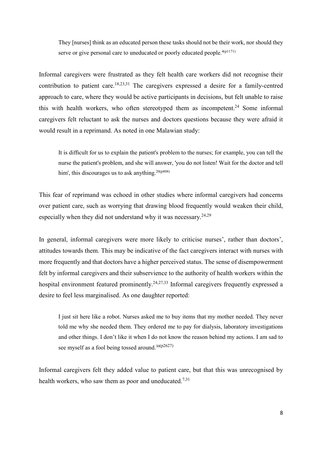They [nurses] think as an educated person these tasks should not be their work, nor should they serve or give personal care to uneducated or poorly educated people.<sup>4(p1171)</sup>

Informal caregivers were frustrated as they felt health care workers did not recognise their contribution to patient care.<sup>18,23,31</sup> The caregivers expressed a desire for a family-centred approach to care, where they would be active participants in decisions, but felt unable to raise this with health workers, who often stereotyped them as incompetent.<sup>24</sup> Some informal caregivers felt reluctant to ask the nurses and doctors questions because they were afraid it would result in a reprimand. As noted in one Malawian study:

It is difficult for us to explain the patient's problem to the nurses; for example, you can tell the nurse the patient's problem, and she will answer, 'you do not listen! Wait for the doctor and tell him', this discourages us to ask anything.  $20(p808)$ 

This fear of reprimand was echoed in other studies where informal caregivers had concerns over patient care, such as worrying that drawing blood frequently would weaken their child, especially when they did not understand why it was necessary.<sup>24,29</sup>

In general, informal caregivers were more likely to criticise nurses', rather than doctors', attitudes towards them. This may be indicative of the fact caregivers interact with nurses with more frequently and that doctors have a higher perceived status. The sense of disempowerment felt by informal caregivers and their subservience to the authority of health workers within the hospital environment featured prominently.<sup>24,27,33</sup> Informal caregivers frequently expressed a desire to feel less marginalised. As one daughter reported:

I just sit here like a robot. Nurses asked me to buy items that my mother needed. They never told me why she needed them. They ordered me to pay for dialysis, laboratory investigations and other things. I don't like it when I do not know the reason behind my actions. I am sad to see myself as a fool being tossed around.<sup>30(p2627)</sup>

Informal caregivers felt they added value to patient care, but that this was unrecognised by health workers, who saw them as poor and uneducated.<sup>7,31</sup>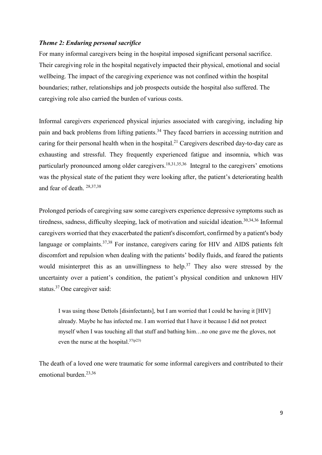## *Theme 2: Enduring personal sacrifice*

For many informal caregivers being in the hospital imposed significant personal sacrifice. Their caregiving role in the hospital negatively impacted their physical, emotional and social wellbeing. The impact of the caregiving experience was not confined within the hospital boundaries; rather, relationships and job prospects outside the hospital also suffered. The caregiving role also carried the burden of various costs.

Informal caregivers experienced physical injuries associated with caregiving, including hip pain and back problems from lifting patients.<sup>34</sup> They faced barriers in accessing nutrition and caring for their personal health when in the hospital. <sup>21</sup> Caregivers described day-to-day care as exhausting and stressful. They frequently experienced fatigue and insomnia, which was particularly pronounced among older caregivers.<sup>18,31,35,36</sup> Integral to the caregivers' emotions was the physical state of the patient they were looking after, the patient's deteriorating health and fear of death. 28,37,38

Prolonged periods of caregiving saw some caregivers experience depressive symptoms such as tiredness, sadness, difficulty sleeping, lack of motivation and suicidal ideation.<sup>30,34,36</sup> Informal caregivers worried that they exacerbated the patient's discomfort, confirmed by a patient's body language or complaints.<sup>37,38</sup> For instance, caregivers caring for HIV and AIDS patients felt discomfort and repulsion when dealing with the patients' bodily fluids, and feared the patients would misinterpret this as an unwillingness to help.<sup>37</sup> They also were stressed by the uncertainty over a patient's condition, the patient's physical condition and unknown HIV status. <sup>37</sup> One caregiver said:

I was using those Dettols [disinfectants], but I am worried that I could be having it [HIV] already. Maybe he has infected me. I am worried that I have it because I did not protect myself when I was touching all that stuff and bathing him…no one gave me the gloves, not even the nurse at the hospital.<sup>37(p23)</sup>

The death of a loved one were traumatic for some informal caregivers and contributed to their emotional burden. 23,36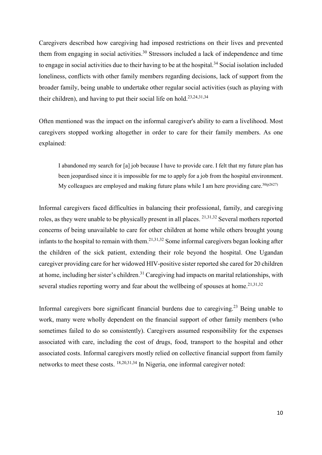Caregivers described how caregiving had imposed restrictions on their lives and prevented them from engaging in social activities.<sup>30</sup> Stressors included a lack of independence and time to engage in social activities due to their having to be at the hospital.<sup>34</sup> Social isolation included loneliness, conflicts with other family members regarding decisions, lack of support from the broader family, being unable to undertake other regular social activities (such as playing with their children), and having to put their social life on hold.<sup>23,24,31,34</sup>

Often mentioned was the impact on the informal caregiver's ability to earn a livelihood. Most caregivers stopped working altogether in order to care for their family members. As one explained:

I abandoned my search for [a] job because I have to provide care. I felt that my future plan has been jeopardised since it is impossible for me to apply for a job from the hospital environment. My colleagues are employed and making future plans while I am here providing care.<sup>30(p2627)</sup>

Informal caregivers faced difficulties in balancing their professional, family, and caregiving roles, as they were unable to be physically present in all places. 21,31,32 Several mothers reported concerns of being unavailable to care for other children at home while others brought young infants to the hospital to remain with them.<sup>21,31,32</sup> Some informal caregivers began looking after the children of the sick patient, extending their role beyond the hospital. One Ugandan caregiver providing care for her widowed HIV-positive sister reported she cared for 20 children at home, including her sister's children.<sup>31</sup> Caregiving had impacts on marital relationships, with several studies reporting worry and fear about the wellbeing of spouses at home.<sup>21,31,32</sup>

Informal caregivers bore significant financial burdens due to caregiving.<sup>23</sup> Being unable to work, many were wholly dependent on the financial support of other family members (who sometimes failed to do so consistently). Caregivers assumed responsibility for the expenses associated with care, including the cost of drugs, food, transport to the hospital and other associated costs. Informal caregivers mostly relied on collective financial support from family networks to meet these costs. 18,20,31,34 In Nigeria, one informal caregiver noted: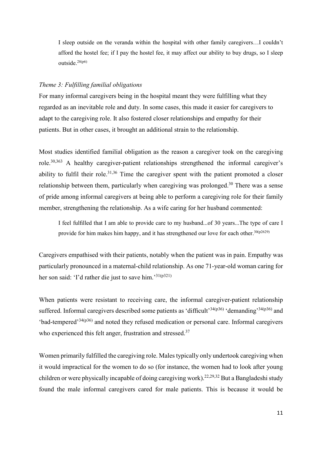I sleep outside on the veranda within the hospital with other family caregivers…I couldn't afford the hostel fee; if I pay the hostel fee, it may affect our ability to buy drugs, so I sleep outside. 28(p6)

#### *Theme 3: Fulfilling familial obligations*

For many informal caregivers being in the hospital meant they were fulfilling what they regarded as an inevitable role and duty. In some cases, this made it easier for caregivers to adapt to the caregiving role. It also fostered closer relationships and empathy for their patients. But in other cases, it brought an additional strain to the relationship.

Most studies identified familial obligation as the reason a caregiver took on the caregiving role.<sup>30,363</sup> A healthy caregiver-patient relationships strengthened the informal caregiver's ability to fulfil their role.<sup>31,36</sup> Time the caregiver spent with the patient promoted a closer relationship between them, particularly when caregiving was prolonged.<sup>30</sup> There was a sense of pride among informal caregivers at being able to perform a caregiving role for their family member, strengthening the relationship. As a wife caring for her husband commented:

I feel fulfilled that I am able to provide care to my husband...of 30 years...The type of care I provide for him makes him happy, and it has strengthened our love for each other.<sup>30(p2629)</sup>

Caregivers empathised with their patients, notably when the patient was in pain. Empathy was particularly pronounced in a maternal-child relationship. As one 71-year-old woman caring for her son said: 'I'd rather die just to save him.'<sup>31(p321)</sup>

When patients were resistant to receiving care, the informal caregiver-patient relationship suffered. Informal caregivers described some patients as 'difficult'<sup>34(p36)</sup> 'demanding'<sup>34(p36)</sup> and  $\cdot$ bad-tempered<sup>34(p36)</sup> and noted they refused medication or personal care. Informal caregivers who experienced this felt anger, frustration and stressed.<sup>37</sup>

Women primarily fulfilled the caregiving role. Males typically only undertook caregiving when it would impractical for the women to do so (for instance, the women had to look after young children or were physically incapable of doing caregiving work).<sup>22,29,32</sup> But a Bangladeshi study found the male informal caregivers cared for male patients. This is because it would be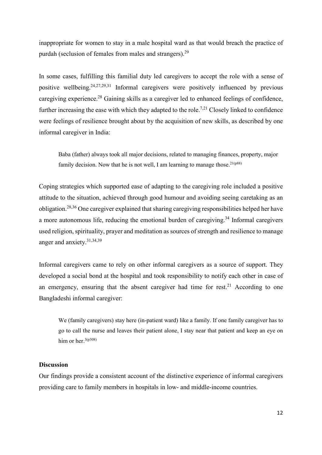inappropriate for women to stay in a male hospital ward as that would breach the practice of purdah (seclusion of females from males and strangers).<sup>29</sup>

In some cases, fulfilling this familial duty led caregivers to accept the role with a sense of positive wellbeing.<sup>24,27,29,31</sup> Informal caregivers were positively influenced by previous caregiving experience.<sup>28</sup> Gaining skills as a caregiver led to enhanced feelings of confidence, further increasing the ease with which they adapted to the role.<sup>7,21</sup> Closely linked to confidence were feelings of resilience brought about by the acquisition of new skills, as described by one informal caregiver in India:

Baba (father) always took all major decisions, related to managing finances, property, major family decision. Now that he is not well, I am learning to manage those.<sup>21(p88)</sup>

Coping strategies which supported ease of adapting to the caregiving role included a positive attitude to the situation, achieved through good humour and avoiding seeing caretaking as an obligation.<sup>28,36</sup> One caregiver explained that sharing caregiving responsibilities helped her have a more autonomous life, reducing the emotional burden of caregiving.<sup>34</sup> Informal caregivers used religion, spirituality, prayer and meditation as sources of strength and resilience to manage anger and anxiety. 31,34,39

Informal caregivers came to rely on other informal caregivers as a source of support. They developed a social bond at the hospital and took responsibility to notify each other in case of an emergency, ensuring that the absent caregiver had time for rest.<sup>21</sup> According to one Bangladeshi informal caregiver:

We (family caregivers) stay here (in-patient ward) like a family. If one family caregiver has to go to call the nurse and leaves their patient alone, I stay near that patient and keep an eye on him or her.<sup>3(p308)</sup>

## **Discussion**

Our findings provide a consistent account of the distinctive experience of informal caregivers providing care to family members in hospitals in low- and middle-income countries.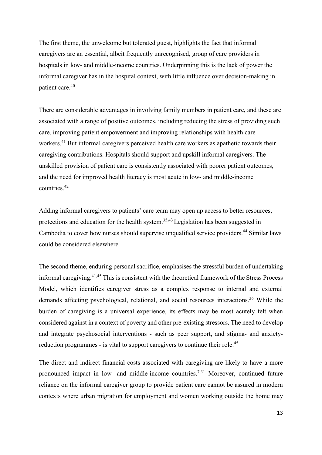The first theme, the unwelcome but tolerated guest, highlights the fact that informal caregivers are an essential, albeit frequently unrecognised, group of care providers in hospitals in low- and middle-income countries. Underpinning this is the lack of power the informal caregiver has in the hospital context, with little influence over decision-making in patient care. 40

There are considerable advantages in involving family members in patient care, and these are associated with a range of positive outcomes, including reducing the stress of providing such care, improving patient empowerment and improving relationships with health care workers.<sup>41</sup> But informal caregivers perceived health care workers as apathetic towards their caregiving contributions. Hospitals should support and upskill informal caregivers. The unskilled provision of patient care is consistently associated with poorer patient outcomes, and the need for improved health literacy is most acute in low- and middle-income countries. 42

Adding informal caregivers to patients' care team may open up access to better resources, protections and education for the health system.<sup>35,43</sup> Legislation has been suggested in Cambodia to cover how nurses should supervise unqualified service providers. <sup>44</sup> Similar laws could be considered elsewhere.

The second theme, enduring personal sacrifice, emphasises the stressful burden of undertaking informal caregiving. 41,45 This is consistent with the theoretical framework of the Stress Process Model, which identifies caregiver stress as a complex response to internal and external demands affecting psychological, relational, and social resources interactions. <sup>36</sup> While the burden of caregiving is a universal experience, its effects may be most acutely felt when considered against in a context of poverty and other pre-existing stressors. The need to develop and integrate psychosocial interventions - such as peer support, and stigma- and anxietyreduction programmes - is vital to support caregivers to continue their role.<sup>45</sup>

The direct and indirect financial costs associated with caregiving are likely to have a more pronounced impact in low- and middle-income countries.7,31 Moreover, continued future reliance on the informal caregiver group to provide patient care cannot be assured in modern contexts where urban migration for employment and women working outside the home may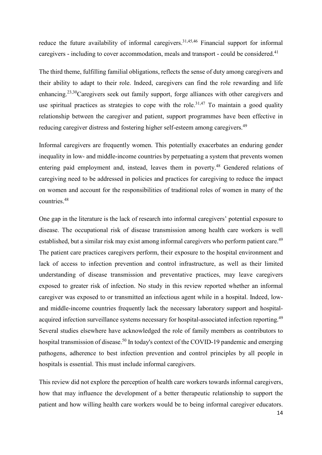reduce the future availability of informal caregivers.<sup>31,45,46</sup> Financial support for informal caregivers - including to cover accommodation, meals and transport - could be considered.<sup>41</sup>

The third theme, fulfilling familial obligations, reflects the sense of duty among caregivers and their ability to adapt to their role. Indeed, caregivers can find the role rewarding and life enhancing.23,30Caregivers seek out family support, forge alliances with other caregivers and use spiritual practices as strategies to cope with the role.<sup>31,47</sup> To maintain a good quality relationship between the caregiver and patient, support programmes have been effective in reducing caregiver distress and fostering higher self-esteem among caregivers.<sup>49</sup>

Informal caregivers are frequently women. This potentially exacerbates an enduring gender inequality in low- and middle-income countries by perpetuating a system that prevents women entering paid employment and, instead, leaves them in poverty.<sup>48</sup> Gendered relations of caregiving need to be addressed in policies and practices for caregiving to reduce the impact on women and account for the responsibilities of traditional roles of women in many of the countries. 48

One gap in the literature is the lack of research into informal caregivers' potential exposure to disease. The occupational risk of disease transmission among health care workers is well established, but a similar risk may exist among informal caregivers who perform patient care.<sup>49</sup> The patient care practices caregivers perform, their exposure to the hospital environment and lack of access to infection prevention and control infrastructure, as well as their limited understanding of disease transmission and preventative practices, may leave caregivers exposed to greater risk of infection. No study in this review reported whether an informal caregiver was exposed to or transmitted an infectious agent while in a hospital. Indeed, lowand middle-income countries frequently lack the necessary laboratory support and hospitalacquired infection surveillance systems necessary for hospital-associated infection reporting.<sup>49</sup> Several studies elsewhere have acknowledged the role of family members as contributors to hospital transmission of disease.<sup>50</sup> In today's context of the COVID-19 pandemic and emerging pathogens, adherence to best infection prevention and control principles by all people in hospitals is essential. This must include informal caregivers.

This review did not explore the perception of health care workers towards informal caregivers, how that may influence the development of a better therapeutic relationship to support the patient and how willing health care workers would be to being informal caregiver educators.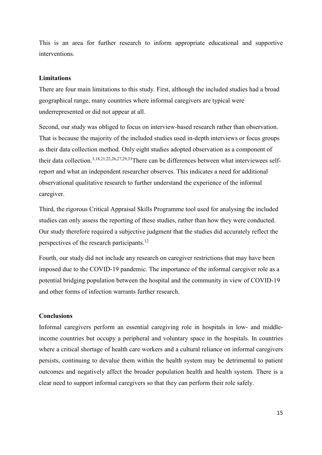This is an area for further research to inform appropriate educational and supportive interventions.

### **Limitations**

There are four main limitations to this study. First, although the included studies had a broad geographical range, many countries where informal caregivers are typical were underrepresented or did not appear at all.

Second, our study was obliged to focus on interview-based research rather than observation. That is because the majority of the included studies used in-depth interviews or focus groups as their data collection method. Only eight studies adopted observation as a component of their data collection.<sup>3,18,21,22,26,27,29,33</sup>There can be differences between what interviewees selfreport and what an independent researcher observes. This indicates a need for additional observational qualitative research to further understand the experience of the informal caregiver.

Third, the rigorous Critical Appraisal Skills Programme tool used for analysing the included studies can only assess the reporting of these studies, rather than how they were conducted. Our study therefore required a subjective judgment that the studies did accurately reflect the perspectives of the research participants.<sup>12</sup>

Fourth, our study did not include any research on caregiver restrictions that may have been imposed due to the COVID-19 pandemic. The importance of the informal caregiver role as a potential bridging population between the hospital and the community in view of COVID-19 and other forms of infection warrants further research.

# **Conclusions**

Informal caregivers perform an essential caregiving role in hospitals in low- and middleincome countries but occupy a peripheral and voluntary space in the hospitals. In countries where a critical shortage of health care workers and a cultural reliance on informal caregivers persists, continuing to devalue them within the health system may be detrimental to patient outcomes and negatively affect the broader population health and health system. There is a clear need to support informal caregivers so that they can perform their role safely.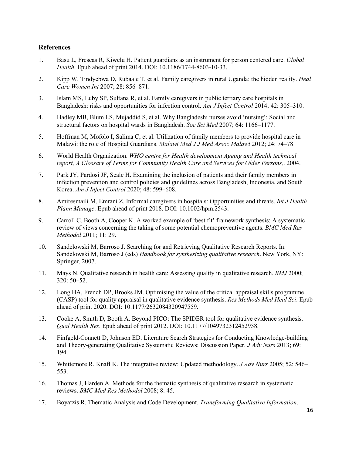## **References**

- 1. Basu L, Frescas R, Kiwelu H. Patient guardians as an instrument for person centered care. *Global Health*. Epub ahead of print 2014. DOI: 10.1186/1744-8603-10-33.
- 2. Kipp W, Tindyebwa D, Rubaale T, et al. Family caregivers in rural Uganda: the hidden reality. *Heal Care Women Int* 2007; 28: 856–871.
- 3. Islam MS, Luby SP, Sultana R, et al. Family caregivers in public tertiary care hospitals in Bangladesh: risks and opportunities for infection control. *Am J Infect Control* 2014; 42: 305–310.
- 4. Hadley MB, Blum LS, Mujaddid S, et al. Why Bangladeshi nurses avoid 'nursing': Social and structural factors on hospital wards in Bangladesh. *Soc Sci Med* 2007; 64: 1166–1177.
- 5. Hoffman M, Mofolo I, Salima C, et al. Utilization of family members to provide hospital care in Malawi: the role of Hospital Guardians. *Malawi Med J J Med Assoc Malawi* 2012; 24: 74–78.
- 6. World Health Organization. *WHO centre for Health development Ageing and Health technical report, A Glossary of Terms for Community Health Care and Services for Older Persons,*. 2004.
- 7. Park JY, Pardosi JF, Seale H. Examining the inclusion of patients and their family members in infection prevention and control policies and guidelines across Bangladesh, Indonesia, and South Korea. *Am J Infect Control* 2020; 48: 599–608.
- 8. Amiresmaili M, Emrani Z. Informal caregivers in hospitals: Opportunities and threats. *Int J Health Plann Manage*. Epub ahead of print 2018. DOI: 10.1002/hpm.2543.
- 9. Carroll C, Booth A, Cooper K. A worked example of 'best fit' framework synthesis: A systematic review of views concerning the taking of some potential chemopreventive agents. *BMC Med Res Methodol* 2011; 11: 29.
- 10. Sandelowski M, Barroso J. Searching for and Retrieving Qualitative Research Reports. In: Sandelowski M, Barroso J (eds) *Handbook for synthesizing qualitative research*. New York, NY: Springer, 2007.
- 11. Mays N. Qualitative research in health care: Assessing quality in qualitative research. *BMJ* 2000; 320: 50–52.
- 12. Long HA, French DP, Brooks JM. Optimising the value of the critical appraisal skills programme (CASP) tool for quality appraisal in qualitative evidence synthesis. *Res Methods Med Heal Sci*. Epub ahead of print 2020. DOI: 10.1177/2632084320947559.
- 13. Cooke A, Smith D, Booth A. Beyond PICO: The SPIDER tool for qualitative evidence synthesis. *Qual Health Res*. Epub ahead of print 2012. DOI: 10.1177/1049732312452938.
- 14. Finfgeld-Connett D, Johnson ED. Literature Search Strategies for Conducting Knowledge-building and Theory-generating Qualitative Systematic Reviews: Discussion Paper. *J Adv Nurs* 2013; 69: 194.
- 15. Whittemore R, Knafl K. The integrative review: Updated methodology. *J Adv Nurs* 2005; 52: 546– 553.
- 16. Thomas J, Harden A. Methods for the thematic synthesis of qualitative research in systematic reviews. *BMC Med Res Methodol* 2008; 8: 45.
- 17. Boyatzis R. Thematic Analysis and Code Development. *Transforming Qualitative Information*.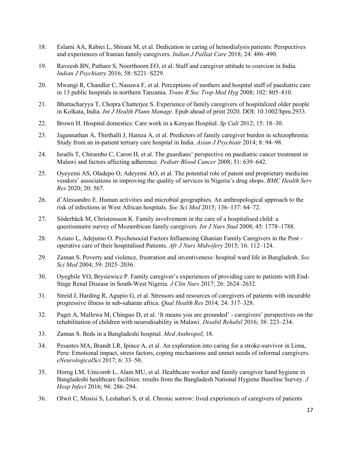- 18. Eslami AA, Rabiei L, Shirani M, et al. Dedication in caring of hemodialysis patients: Perspectives and experiences of Iranian family caregivers. *Indian J Palliat Care* 2018; 24: 486–490.
- 19. Raveesh BN, Pathare S, Noorthoorn EO, et al. Staff and caregiver attitude to coercion in India. *Indian J Psychiatry* 2016; 58: S221–S229.
- 20. Mwangi R, Chandler C, Nasuwa F, et al. Perceptions of mothers and hospital staff of paediatric care in 13 public hospitals in northern Tanzania. *Trans R Soc Trop Med Hyg* 2008; 102: 805–810.
- 21. Bhattacharyya T, Chopra Chatterjee S. Experience of family caregivers of hospitalized older people in Kolkata, India. *Int J Health Plann Manage*. Epub ahead of print 2020. DOI: 10.1002/hpm.2933.
- 22. Brown H. Hospital domestics: Care work in a Kenyan Hospital. *Sp Cult* 2012; 15: 18–30.
- 23. Jagannathan A, Thirthalli J, Hamza A, et al. Predictors of family caregiver burden in schizophrenia: Study from an in-patient tertiary care hospital in India. *Asian J Psychiatr* 2014; 8: 94–98.
- 24. Israëls T, Chirambo C, Caron H, et al. The guardians' perspective on paediatric cancer treatment in Malawi and factors affecting adherence. *Pediatr Blood Cancer* 2008; 51: 639–642.
- 25. Oyeyemi AS, Oladepo O, Adeyemi AO, et al. The potential role of patent and proprietary medicine vendors' associations in improving the quality of services in Nigeria's drug shops. *BMC Health Serv Res* 2020; 20: 567.
- 26. d'Alessandro E. Human activities and microbial geographies. An anthropological approach to the risk of infections in West African hospitals. *Soc Sci Med* 2015; 136–137: 64–72.
- 27. Söderbäck M, Christensson K. Family involvement in the care of a hospitalised child: a questionnaire survey of Mozambican family caregivers. *Int J Nurs Stud* 2008; 45: 1778–1788.
- 28. Aziato L, Adejumo O. Psychosocial Factors Influencing Ghanian Family Caregivers in the Post operative care of their hospitalised Patients. *Afr J Nurs Midwifery* 2015; 16: 112–124.
- 29. Zaman S. Poverty and violence, frustration and inventiveness: hospital ward life in Bangladesh. *Soc Sci Med* 2004; 59: 2025–2036.
- 30. Oyegbile YO, Brysiewicz P. Family caregiver's experiences of providing care to patients with End-Stage Renal Disease in South-West Nigeria. *J Clin Nurs* 2017; 26: 2624–2632.
- 31. Streid J, Harding R, Agupio G, et al. Stressors and resources of caregivers of patients with incurable progressive illness in sub-saharan africa. *Qual Health Res* 2014; 24: 317–328.
- 32. Paget A, Mallewa M, Chinguo D, et al. 'It means you are grounded' caregivers' perspectives on the rehabilitation of children with neurodisability in Malawi. *Disabil Rehabil* 2016; 38: 223–234.
- 33. Zaman S. Beds in a Bangladeshi hospital. *Med Anthropol*; 18.
- 34. Pesantes MA, Brandt LR, Ipince A, et al. An exploration into caring for a stroke-survivor in Lima, Peru: Emotional impact, stress factors, coping mechanisms and unmet needs of informal caregivers. *eNeurologicalSci* 2017; 6: 33–50.
- 35. Horng LM, Unicomb L, Alam MU, et al. Healthcare worker and family caregiver hand hygiene in Bangladeshi healthcare facilities: results from the Bangladesh National Hygiene Baseline Survey. *J Hosp Infect* 2016; 94: 286–294.
- 36. Olwit C, Musisi S, Leshabari S, et al. Chronic sorrow: lived experiences of caregivers of patients